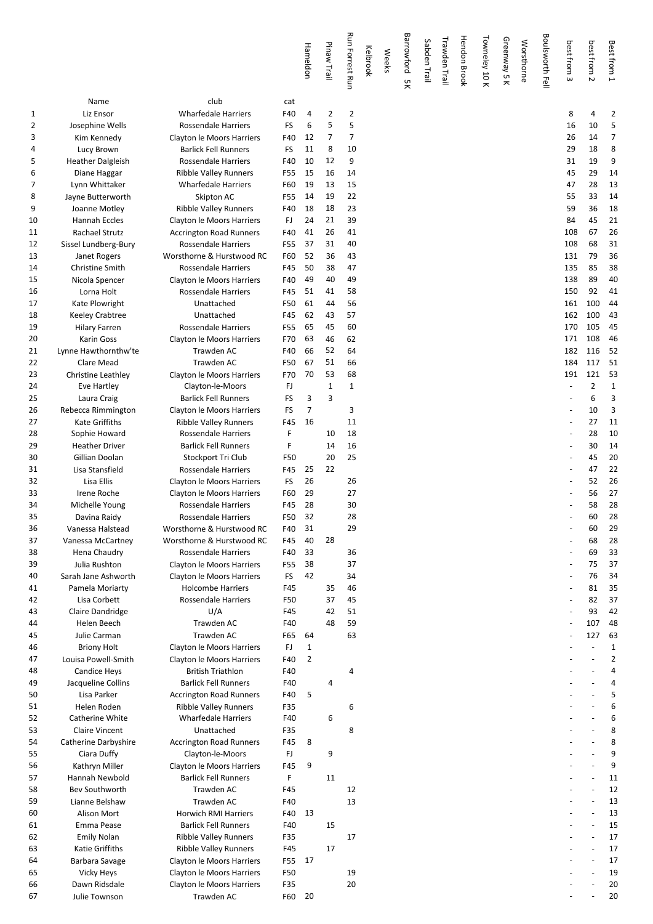|              |                                 |                                                       |            | Hameldon | Pinaw Trail    | <b>Run Forrest Run</b> | Kelbrook | <b>Weeks</b> | Barrowford<br>χg | Sabden Trail | Trawden Trail | <b>Hendon Brook</b> | Towneley 10 K | Greenway 5 K | Worsthorne | Boulsworth Fell | best from<br>$\boldsymbol{\omega}$ | best from 2    | Best from 1    |
|--------------|---------------------------------|-------------------------------------------------------|------------|----------|----------------|------------------------|----------|--------------|------------------|--------------|---------------|---------------------|---------------|--------------|------------|-----------------|------------------------------------|----------------|----------------|
|              | Name                            | club                                                  | cat        |          |                |                        |          |              |                  |              |               |                     |               |              |            |                 |                                    |                |                |
| $\mathbf{1}$ | Liz Ensor                       | <b>Wharfedale Harriers</b>                            | F40        | 4        | 2              | 2                      |          |              |                  |              |               |                     |               |              |            |                 | 8                                  | 4              | 2              |
| 2            | Josephine Wells                 | Rossendale Harriers                                   | FS         | 6        | 5              | 5                      |          |              |                  |              |               |                     |               |              |            |                 | 16                                 | 10             | 5              |
| 3            | Kim Kennedy                     | Clayton le Moors Harriers                             | F40        | 12       | $\overline{7}$ | $\overline{7}$         |          |              |                  |              |               |                     |               |              |            |                 | 26                                 | 14             | 7              |
| 4            | Lucy Brown                      | <b>Barlick Fell Runners</b>                           | FS         | 11       | 8              | 10                     |          |              |                  |              |               |                     |               |              |            |                 | 29                                 | 18             | 8              |
| 5            | <b>Heather Dalgleish</b>        | Rossendale Harriers                                   | F40        | 10       | 12             | 9                      |          |              |                  |              |               |                     |               |              |            |                 | 31                                 | 19             | 9              |
| 6            | Diane Haggar                    | <b>Ribble Valley Runners</b>                          | F55        | 15       | 16             | 14                     |          |              |                  |              |               |                     |               |              |            |                 | 45                                 | 29             | 14             |
| 7            | Lynn Whittaker                  | <b>Wharfedale Harriers</b>                            | F60        | 19       | 13             | 15                     |          |              |                  |              |               |                     |               |              |            |                 | 47                                 | 28             | 13             |
| 8            | Jayne Butterworth               | Skipton AC                                            | F55        | 14       | 19             | 22                     |          |              |                  |              |               |                     |               |              |            |                 | 55                                 | 33             | 14             |
| 9            | Joanne Motley                   | <b>Ribble Valley Runners</b>                          | F40        | 18       | 18             | 23                     |          |              |                  |              |               |                     |               |              |            |                 | 59                                 | 36             | 18             |
| 10           | Hannah Eccles                   | Clayton le Moors Harriers                             | FJ         | 24       | 21             | 39                     |          |              |                  |              |               |                     |               |              |            |                 | 84                                 | 45             | 21             |
| 11           | <b>Rachael Strutz</b>           | <b>Accrington Road Runners</b>                        | F40        | 41       | 26             | 41                     |          |              |                  |              |               |                     |               |              |            |                 | 108                                | 67             | 26             |
| 12           | Sissel Lundberg-Bury            | Rossendale Harriers                                   | F55        | 37       | 31             | 40                     |          |              |                  |              |               |                     |               |              |            |                 | 108                                | 68             | 31             |
| 13           | Janet Rogers                    | Worsthorne & Hurstwood RC                             | F60        | 52       | 36             | 43                     |          |              |                  |              |               |                     |               |              |            |                 | 131                                | 79             | 36             |
| 14           | <b>Christine Smith</b>          | Rossendale Harriers                                   | F45        | 50       | 38             | 47                     |          |              |                  |              |               |                     |               |              |            |                 | 135                                | 85             | 38             |
| 15           | Nicola Spencer                  | Clayton le Moors Harriers                             | F40        | 49       | 40             | 49                     |          |              |                  |              |               |                     |               |              |            |                 | 138                                | 89             | 40             |
| 16           | Lorna Holt                      | <b>Rossendale Harriers</b>                            | F45        | 51       | 41             | 58                     |          |              |                  |              |               |                     |               |              |            |                 | 150                                | 92             | 41             |
| 17           | Kate Plowright                  | Unattached                                            | F50        | 61       | 44             | 56                     |          |              |                  |              |               |                     |               |              |            |                 | 161                                | 100            | 44             |
| 18           | <b>Keeley Crabtree</b>          | Unattached                                            | F45        | 62       | 43             | 57                     |          |              |                  |              |               |                     |               |              |            |                 | 162                                | 100            | 43             |
| 19           | <b>Hilary Farren</b>            | Rossendale Harriers                                   | F55        | 65       | 45             | 60                     |          |              |                  |              |               |                     |               |              |            |                 | 170                                | 105            | 45             |
| 20           | <b>Karin Goss</b>               | Clayton le Moors Harriers                             | F70        | 63       | 46             | 62                     |          |              |                  |              |               |                     |               |              |            |                 | 171                                | 108            | 46             |
| 21           | Lynne Hawthornthw'te            | Trawden AC                                            | F40        | 66       | 52             | 64                     |          |              |                  |              |               |                     |               |              |            |                 | 182                                | 116            | 52             |
| 22           | Clare Mead                      | Trawden AC                                            | F50        | 67       | 51             | 66                     |          |              |                  |              |               |                     |               |              |            |                 | 184                                | 117            | 51             |
| 23           | Christine Leathley              | Clayton le Moors Harriers                             | F70        | 70       | 53             | 68                     |          |              |                  |              |               |                     |               |              |            |                 | 191                                | 121            | 53             |
| 24           | Eve Hartley                     | Clayton-le-Moors                                      | FJ         |          | $1\,$          | $\mathbf{1}$           |          |              |                  |              |               |                     |               |              |            |                 |                                    | $\overline{2}$ | 1              |
| 25           | Laura Craig                     | <b>Barlick Fell Runners</b>                           | FS         | 3        | 3              |                        |          |              |                  |              |               |                     |               |              |            |                 |                                    | 6              | 3              |
| 26           | Rebecca Rimmington              | Clayton le Moors Harriers                             | FS         | 7        |                | 3                      |          |              |                  |              |               |                     |               |              |            |                 |                                    | 10             | 3              |
| 27           | <b>Kate Griffiths</b>           | Ribble Valley Runners                                 | F45        | 16       |                | 11                     |          |              |                  |              |               |                     |               |              |            |                 |                                    | 27             | 11             |
| 28           | Sophie Howard                   | Rossendale Harriers                                   | F          |          | 10             | 18                     |          |              |                  |              |               |                     |               |              |            |                 |                                    | 28             | 10             |
| 29           | <b>Heather Driver</b>           | <b>Barlick Fell Runners</b>                           | F          |          | 14             | 16                     |          |              |                  |              |               |                     |               |              |            |                 |                                    | 30             | 14             |
| 30           | Gillian Doolan                  | Stockport Tri Club                                    | F50        |          | 20             | 25                     |          |              |                  |              |               |                     |               |              |            |                 |                                    | 45             | 2 <sub>C</sub> |
| 31           | Lisa Stansfield                 | Rossendale Harriers                                   | F45        | 25       | 22             |                        |          |              |                  |              |               |                     |               |              |            |                 |                                    | 47             | 22             |
| 32           | Lisa Ellis                      | Clayton le Moors Harriers                             | FS         | 26       |                | 26                     |          |              |                  |              |               |                     |               |              |            |                 |                                    | 52             | 26             |
| 33           | Irene Roche                     | Clayton le Moors Harriers                             | F60        | 29       |                | 27                     |          |              |                  |              |               |                     |               |              |            |                 |                                    | 56             | 27             |
| 34           | Michelle Young                  | Rossendale Harriers                                   | F45        | 28       |                | 30                     |          |              |                  |              |               |                     |               |              |            |                 |                                    | 58             | 28             |
| 35           | Davina Raidy                    | <b>Rossendale Harriers</b>                            | F50        | 32       |                | 28                     |          |              |                  |              |               |                     |               |              |            |                 |                                    | 60             | 28             |
| 36           | Vanessa Halstead                | Worsthorne & Hurstwood RC                             | F40        | 31       |                | 29                     |          |              |                  |              |               |                     |               |              |            |                 |                                    | 60             | <b>29</b>      |
| 37           | Vanessa McCartney               | Worsthorne & Hurstwood RC                             | F45        | 40       | 28             |                        |          |              |                  |              |               |                     |               |              |            |                 |                                    | 68             | 28             |
| 38           | Hena Chaudry                    | <b>Rossendale Harriers</b>                            | F40        | 33       |                | 36                     |          |              |                  |              |               |                     |               |              |            |                 |                                    | 69             | 33             |
| 39           | Julia Rushton                   | Clayton le Moors Harriers                             | F55        | 38       |                | 37                     |          |              |                  |              |               |                     |               |              |            |                 |                                    | 75             | 37             |
| 40           | Sarah Jane Ashworth             | Clayton le Moors Harriers<br><b>Holcombe Harriers</b> | FS         | 42       |                | 34<br>46               |          |              |                  |              |               |                     |               |              |            |                 |                                    | 76             | 34<br>35       |
| 41<br>42     | Pamela Moriarty<br>Lisa Corbett | Rossendale Harriers                                   | F45        |          | 35<br>37       | 45                     |          |              |                  |              |               |                     |               |              |            |                 |                                    | 81<br>82       | 37             |
| 43           | Claire Dandridge                | U/A                                                   | F50<br>F45 |          | 42             | 51                     |          |              |                  |              |               |                     |               |              |            |                 |                                    | 93             | 42             |
| 44           | Helen Beech                     | <b>Trawden AC</b>                                     | F40        |          | 48             | 59                     |          |              |                  |              |               |                     |               |              |            |                 |                                    | 107            | 48             |
| 45           | Julie Carman                    | Trawden AC                                            | F65        | 64       |                | 63                     |          |              |                  |              |               |                     |               |              |            |                 |                                    | 127            | 63             |
| 46           | <b>Briony Holt</b>              | Clayton le Moors Harriers                             | FJ         | 1        |                |                        |          |              |                  |              |               |                     |               |              |            |                 |                                    |                | $1\,$          |
| 47           | Louisa Powell-Smith             | Clayton le Moors Harriers                             | F40        | 2        |                |                        |          |              |                  |              |               |                     |               |              |            |                 |                                    |                | $\overline{2}$ |
| 48           | <b>Candice Heys</b>             | <b>British Triathlon</b>                              | F40        |          |                | 4                      |          |              |                  |              |               |                     |               |              |            |                 |                                    |                | 4              |
| 49           | Jacqueline Collins              | <b>Barlick Fell Runners</b>                           | F40        |          | 4              |                        |          |              |                  |              |               |                     |               |              |            |                 |                                    |                | 4              |
| 50           | Lisa Parker                     | <b>Accrington Road Runners</b>                        | F40        | 5        |                |                        |          |              |                  |              |               |                     |               |              |            |                 |                                    |                | 5              |
| 51           | Helen Roden                     | <b>Ribble Valley Runners</b>                          | F35        |          |                | 6                      |          |              |                  |              |               |                     |               |              |            |                 |                                    |                | 6              |
| 52           | Catherine White                 | <b>Wharfedale Harriers</b>                            | F40        |          | 6              |                        |          |              |                  |              |               |                     |               |              |            |                 |                                    |                | 6              |
| 53           | <b>Claire Vincent</b>           | Unattached                                            | F35        |          |                | 8                      |          |              |                  |              |               |                     |               |              |            |                 |                                    |                | 8              |
| 54           | Catherine Darbyshire            | <b>Accrington Road Runners</b>                        | F45        | 8        |                |                        |          |              |                  |              |               |                     |               |              |            |                 |                                    |                | 8              |
| 55           | Ciara Duffy                     | Clayton-le-Moors                                      | FJ         |          | 9              |                        |          |              |                  |              |               |                     |               |              |            |                 |                                    |                | 9              |
| 56           | Kathryn Miller                  | Clayton le Moors Harriers                             | F45        | 9        |                |                        |          |              |                  |              |               |                     |               |              |            |                 |                                    |                | 9              |
| 57           | Hannah Newbold                  | <b>Barlick Fell Runners</b>                           | F          |          | 11             |                        |          |              |                  |              |               |                     |               |              |            |                 |                                    |                | 11             |
| 58           | Bev Southworth                  | <b>Trawden AC</b>                                     | F45        |          |                | 12                     |          |              |                  |              |               |                     |               |              |            |                 |                                    |                | 12             |
| 59           | Lianne Belshaw                  | <b>Trawden AC</b>                                     | F40        |          |                | 13                     |          |              |                  |              |               |                     |               |              |            |                 |                                    |                | 13             |
| 60           | Alison Mort                     | Horwich RMI Harriers                                  | F40        | 13       |                |                        |          |              |                  |              |               |                     |               |              |            |                 |                                    |                | 13             |
| 61           | Emma Pease                      | <b>Barlick Fell Runners</b>                           | F40        |          | 15             |                        |          |              |                  |              |               |                     |               |              |            |                 |                                    |                | 15             |
| 62           | <b>Emily Nolan</b>              | <b>Ribble Valley Runners</b>                          | F35        |          |                | 17                     |          |              |                  |              |               |                     |               |              |            |                 |                                    |                | 17             |
| 63           | Katie Griffiths                 | <b>Ribble Valley Runners</b>                          | F45        |          | 17             |                        |          |              |                  |              |               |                     |               |              |            |                 |                                    |                | 17             |
| 64           | Barbara Savage                  | Clayton le Moors Harriers                             | F55        | 17       |                |                        |          |              |                  |              |               |                     |               |              |            |                 |                                    |                | 17             |
| 65           | Vicky Heys                      | Clayton le Moors Harriers                             | F50        |          |                | 19                     |          |              |                  |              |               |                     |               |              |            |                 |                                    |                | 19             |
| 66           | Dawn Ridsdale                   | Clayton le Moors Harriers                             | F35        |          |                | 20                     |          |              |                  |              |               |                     |               |              |            |                 |                                    |                | 2C             |
| 67           | Julie Townson                   | Trawden AC                                            | F60        | 20       |                |                        |          |              |                  |              |               |                     |               |              |            |                 |                                    |                | 2 <sub>C</sub> |
|              |                                 |                                                       |            |          |                |                        |          |              |                  |              |               |                     |               |              |            |                 |                                    |                |                |